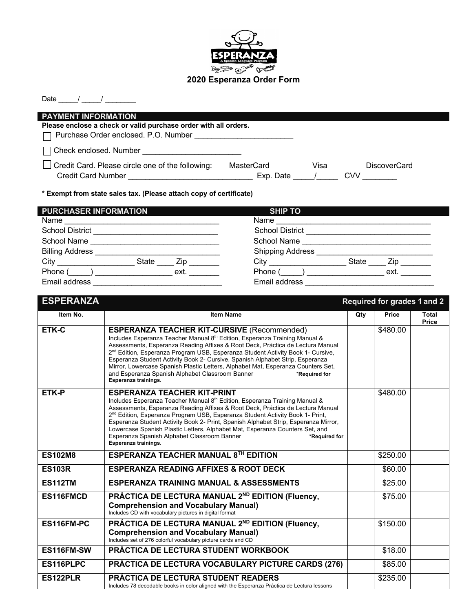

## Date  $\frac{1}{\sqrt{2\pi}}$

| <b>PAYMENT INFORMATION</b>                                      |            |                |                     |
|-----------------------------------------------------------------|------------|----------------|---------------------|
| Please enclose a check or valid purchase order with all orders. |            |                |                     |
| □ Purchase Order enclosed. P.O. Number                          |            |                |                     |
| Check enclosed. Number                                          |            |                |                     |
| Credit Card. Please circle one of the following:                | MasterCard | Visa           | <b>DiscoverCard</b> |
| <b>Credit Card Number</b>                                       | Exp. Date  | $\overline{1}$ | CVV                 |
|                                                                 |            |                |                     |

**\* Exempt from state sales tax. (Please attach copy of certificate)**

| <b>PURCHASER INFORMATION</b>    | <b>SHIP TO</b>                          |
|---------------------------------|-----------------------------------------|
| Name                            |                                         |
| <b>School District</b>          | <b>School District</b>                  |
| School Name                     | School Name                             |
| <b>Billing Address</b>          | <b>Shipping Address</b>                 |
| City<br><b>State</b><br>Zip     | <b>City City</b><br><b>State</b><br>Zip |
| Phone<br>ext.<br>$\blacksquare$ | Phone (<br>ext.<br>$\overline{a}$       |
| Email address                   | Email address                           |

| <b>ESPERANZA</b> |                                                                                                                                                                                                                                                                                                                                                                                                                                                                                                                                                                                    |     | <b>Required for grades 1 and 2</b> |                              |
|------------------|------------------------------------------------------------------------------------------------------------------------------------------------------------------------------------------------------------------------------------------------------------------------------------------------------------------------------------------------------------------------------------------------------------------------------------------------------------------------------------------------------------------------------------------------------------------------------------|-----|------------------------------------|------------------------------|
| Item No.         | <b>Item Name</b>                                                                                                                                                                                                                                                                                                                                                                                                                                                                                                                                                                   | Qty | Price                              | <b>Total</b><br><b>Price</b> |
| <b>ETK-C</b>     | <b>ESPERANZA TEACHER KIT-CURSIVE (Recommended)</b><br>Includes Esperanza Teacher Manual 8th Edition, Esperanza Training Manual &<br>Assessments, Esperanza Reading Affixes & Root Deck, Práctica de Lectura Manual<br>2 <sup>nd</sup> Edition, Esperanza Program USB, Esperanza Student Activity Book 1- Cursive,<br>Esperanza Student Activity Book 2- Cursive, Spanish Alphabet Strip, Esperanza<br>Mirror, Lowercase Spanish Plastic Letters, Alphabet Mat, Esperanza Counters Set,<br>and Esperanza Spanish Alphabet Classroom Banner<br>*Required for<br>Esperanza trainings. |     | \$480.00                           |                              |
| ETK-P            | <b>ESPERANZA TEACHER KIT-PRINT</b><br>Includes Esperanza Teacher Manual 8th Edition, Esperanza Training Manual &<br>Assessments, Esperanza Reading Affixes & Root Deck, Práctica de Lectura Manual<br>2 <sup>nd</sup> Edition, Esperanza Program USB, Esperanza Student Activity Book 1- Print,<br>Esperanza Student Activity Book 2- Print, Spanish Alphabet Strip, Esperanza Mirror,<br>Lowercase Spanish Plastic Letters, Alphabet Mat, Esperanza Counters Set, and<br>Esperanza Spanish Alphabet Classroom Banner<br>*Required for<br>Esperanza trainings.                     |     | \$480.00                           |                              |
| <b>ES102M8</b>   | <b>ESPERANZA TEACHER MANUAL 8TH EDITION</b>                                                                                                                                                                                                                                                                                                                                                                                                                                                                                                                                        |     | \$250.00                           |                              |
| <b>ES103R</b>    | <b>ESPERANZA READING AFFIXES &amp; ROOT DECK</b>                                                                                                                                                                                                                                                                                                                                                                                                                                                                                                                                   |     | \$60.00                            |                              |
| <b>ES112TM</b>   | <b>ESPERANZA TRAINING MANUAL &amp; ASSESSMENTS</b>                                                                                                                                                                                                                                                                                                                                                                                                                                                                                                                                 |     | \$25.00                            |                              |
| ES116FMCD        | PRÁCTICA DE LECTURA MANUAL 2 <sup>ND</sup> EDITION (Fluency,<br><b>Comprehension and Vocabulary Manual)</b><br>Includes CD with vocabulary pictures in digital format                                                                                                                                                                                                                                                                                                                                                                                                              |     | \$75.00                            |                              |
| ES116FM-PC       | PRÁCTICA DE LECTURA MANUAL 2ND EDITION (Fluency,<br><b>Comprehension and Vocabulary Manual)</b><br>Includes set of 276 colorful vocabulary picture cards and CD                                                                                                                                                                                                                                                                                                                                                                                                                    |     | \$150.00                           |                              |
| ES116FM-SW       | PRÁCTICA DE LECTURA STUDENT WORKBOOK                                                                                                                                                                                                                                                                                                                                                                                                                                                                                                                                               |     | \$18.00                            |                              |
| ES116PLPC        | PRÁCTICA DE LECTURA VOCABULARY PICTURE CARDS (276)                                                                                                                                                                                                                                                                                                                                                                                                                                                                                                                                 |     | \$85.00                            |                              |
| ES122PLR         | PRÁCTICA DE LECTURA STUDENT READERS<br>Includes 78 decodable books in color aligned with the Esperanza Práctica de Lectura lessons                                                                                                                                                                                                                                                                                                                                                                                                                                                 |     | \$235.00                           |                              |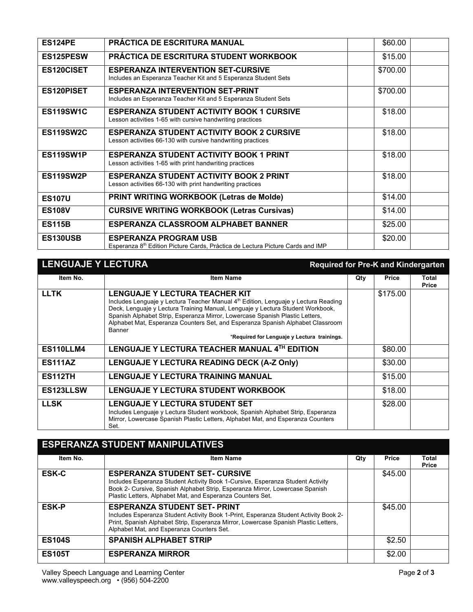| <b>ES124PE</b>    | PRÁCTICA DE ESCRITURA MANUAL                                                                                    | \$60.00  |
|-------------------|-----------------------------------------------------------------------------------------------------------------|----------|
| ES125PESW         | <b>PRÁCTICA DE ESCRITURA STUDENT WORKBOOK</b>                                                                   | \$15.00  |
| <b>ES120CISET</b> | <b>ESPERANZA INTERVENTION SET-CURSIVE</b><br>Includes an Esperanza Teacher Kit and 5 Esperanza Student Sets     | \$700.00 |
| <b>ES120PISET</b> | <b>ESPERANZA INTERVENTION SET-PRINT</b><br>Includes an Esperanza Teacher Kit and 5 Esperanza Student Sets       | \$700.00 |
| ES119SW1C         | <b>ESPERANZA STUDENT ACTIVITY BOOK 1 CURSIVE</b><br>Lesson activities 1-65 with cursive handwriting practices   | \$18.00  |
| ES119SW2C         | <b>ESPERANZA STUDENT ACTIVITY BOOK 2 CURSIVE</b><br>Lesson activities 66-130 with cursive handwriting practices | \$18.00  |
| ES119SW1P         | <b>ESPERANZA STUDENT ACTIVITY BOOK 1 PRINT</b><br>Lesson activities 1-65 with print handwriting practices       | \$18.00  |
| ES119SW2P         | <b>ESPERANZA STUDENT ACTIVITY BOOK 2 PRINT</b><br>Lesson activities 66-130 with print handwriting practices     | \$18.00  |
| <b>ES107U</b>     | PRINT WRITING WORKBOOK (Letras de Molde)                                                                        | \$14.00  |
| <b>ES108V</b>     | <b>CURSIVE WRITING WORKBOOK (Letras Cursivas)</b>                                                               | \$14.00  |
| <b>ES115B</b>     | ESPERANZA CLASSROOM ALPHABET BANNER                                                                             | \$25.00  |
| ES130USB          | <b>ESPERANZA PROGRAM USB</b><br>Esperanza 8th Edition Picture Cards, Práctica de Lectura Picture Cards and IMP  | \$20.00  |

| <b>LENGUAJE Y LECTURA</b> | <b>Required for Pre-K and Kindergarten</b>                                                                                                                                                                                                                                                                                                                                                                                                                  |     |              |                |
|---------------------------|-------------------------------------------------------------------------------------------------------------------------------------------------------------------------------------------------------------------------------------------------------------------------------------------------------------------------------------------------------------------------------------------------------------------------------------------------------------|-----|--------------|----------------|
| Item No.                  | <b>Item Name</b>                                                                                                                                                                                                                                                                                                                                                                                                                                            | Qty | <b>Price</b> | Total<br>Price |
| <b>LLTK</b>               | <b>LENGUAJE Y LECTURA TEACHER KIT</b><br>Includes Lenguaje y Lectura Teacher Manual 4 <sup>th</sup> Edition, Lenguaje y Lectura Reading<br>Deck, Lenguaje y Lectura Training Manual, Lenguaje y Lectura Student Workbook,<br>Spanish Alphabet Strip, Esperanza Mirror, Lowercase Spanish Plastic Letters,<br>Alphabet Mat, Esperanza Counters Set, and Esperanza Spanish Alphabet Classroom<br><b>Banner</b><br>*Required for Lenguaje y Lectura trainings. |     | \$175.00     |                |
| ES110LLM4                 | LENGUAJE Y LECTURA TEACHER MANUAL 4TH EDITION                                                                                                                                                                                                                                                                                                                                                                                                               |     | \$80.00      |                |
| <b>ES111AZ</b>            | <b>LENGUAJE Y LECTURA READING DECK (A-Z Only)</b>                                                                                                                                                                                                                                                                                                                                                                                                           |     | \$30.00      |                |
| <b>ES112TH</b>            | <b>LENGUAJE Y LECTURA TRAINING MANUAL</b>                                                                                                                                                                                                                                                                                                                                                                                                                   |     | \$15.00      |                |
| ES123LLSW                 | LENGUAJE Y LECTURA STUDENT WORKBOOK                                                                                                                                                                                                                                                                                                                                                                                                                         |     | \$18.00      |                |
| <b>LLSK</b>               | <b>LENGUAJE Y LECTURA STUDENT SET</b><br>Includes Lenguaje y Lectura Student workbook, Spanish Alphabet Strip, Esperanza<br>Mirror, Lowercase Spanish Plastic Letters, Alphabet Mat, and Esperanza Counters<br>Set.                                                                                                                                                                                                                                         |     | \$28.00      |                |

| <b>ESPERANZA STUDENT MANIPULATIVES</b> |                                                                                                                                                                                                                                                                       |     |              |                       |
|----------------------------------------|-----------------------------------------------------------------------------------------------------------------------------------------------------------------------------------------------------------------------------------------------------------------------|-----|--------------|-----------------------|
| Item No.                               | <b>Item Name</b>                                                                                                                                                                                                                                                      | Qty | <b>Price</b> | Total<br><b>Price</b> |
| <b>ESK-C</b>                           | <b>ESPERANZA STUDENT SET- CURSIVE</b><br>Includes Esperanza Student Activity Book 1-Cursive, Esperanza Student Activity<br>Book 2- Cursive, Spanish Alphabet Strip, Esperanza Mirror, Lowercase Spanish<br>Plastic Letters, Alphabet Mat, and Esperanza Counters Set. |     | \$45.00      |                       |
| <b>ESK-P</b>                           | <b>ESPERANZA STUDENT SET- PRINT</b><br>Includes Esperanza Student Activity Book 1-Print, Esperanza Student Activity Book 2-<br>Print, Spanish Alphabet Strip, Esperanza Mirror, Lowercase Spanish Plastic Letters,<br>Alphabet Mat, and Esperanza Counters Set.       |     | \$45.00      |                       |
| <b>ES104S</b>                          | <b>SPANISH ALPHABET STRIP</b>                                                                                                                                                                                                                                         |     | \$2.50       |                       |
| <b>ES105T</b>                          | <b>ESPERANZA MIRROR</b>                                                                                                                                                                                                                                               |     | \$2.00       |                       |